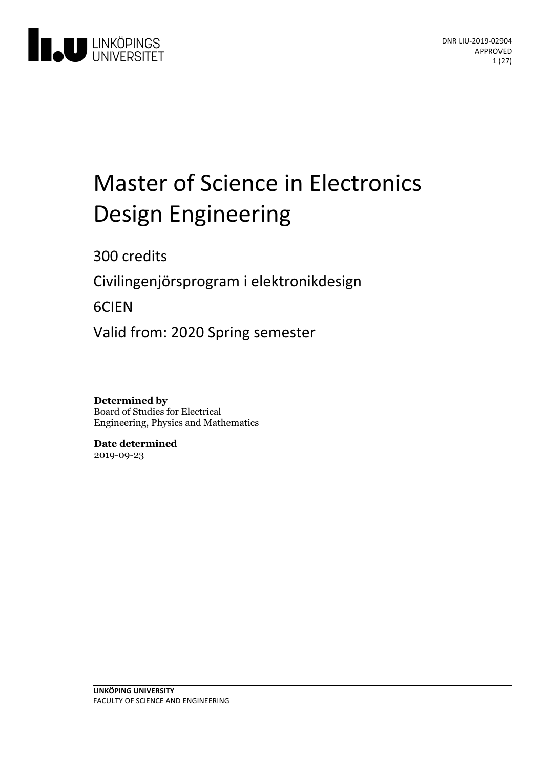

# Master of Science in Electronics Design Engineering

300 credits

Civilingenjörsprogram i elektronikdesign

6CIEN

Valid from: 2020 Spring semester

**Determined by** Board of Studies for Electrical Engineering, Physics and Mathematics

**Date determined** 2019-09-23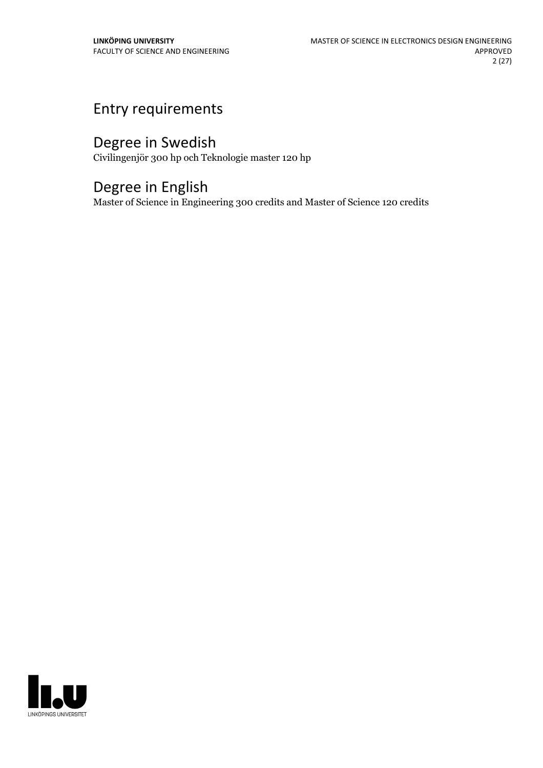# Entry requirements

# Degree in Swedish

Civilingenjör 300 hp och Teknologie master 120 hp

# Degree in English

Master of Science in Engineering 300 credits and Master of Science 120 credits

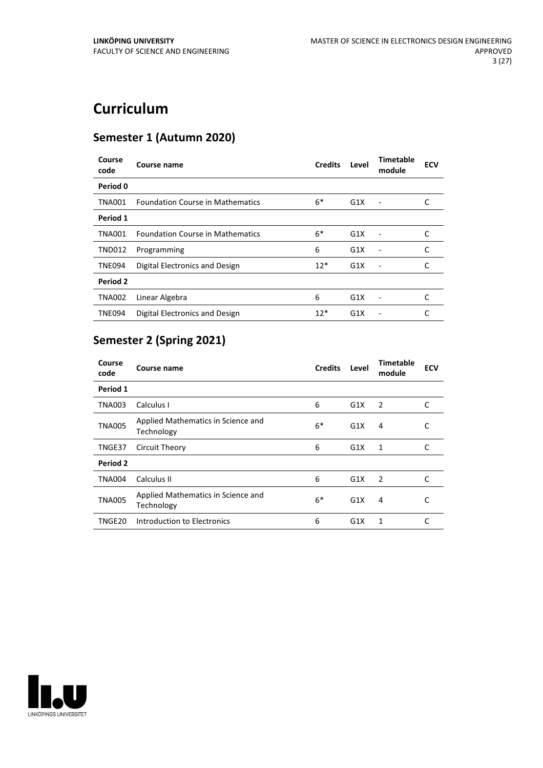# **Curriculum**

# **Semester 1 (Autumn 2020)**

| Course<br>code | Course name                             | <b>Credits</b> | Level | Timetable<br>module          | <b>ECV</b> |
|----------------|-----------------------------------------|----------------|-------|------------------------------|------------|
| Period 0       |                                         |                |       |                              |            |
| <b>TNA001</b>  | <b>Foundation Course in Mathematics</b> | $6*$           | G1X   |                              | C          |
| Period 1       |                                         |                |       |                              |            |
| <b>TNA001</b>  | <b>Foundation Course in Mathematics</b> | $6*$           | G1X   | Ē,                           |            |
| <b>TND012</b>  | Programming                             | 6              | G1X   |                              | C          |
| <b>TNE094</b>  | Digital Electronics and Design          | $12*$          | G1X   | $\qquad \qquad \blacksquare$ | C          |
| Period 2       |                                         |                |       |                              |            |
| <b>TNA002</b>  | Linear Algebra                          | 6              | G1X   |                              | C          |
| <b>TNE094</b>  | Digital Electronics and Design          | $12*$          | G1X   |                              |            |

# **Semester 2 (Spring 2021)**

| Course<br>code | Course name                                      | <b>Credits</b> | Level | Timetable<br>module | <b>ECV</b> |
|----------------|--------------------------------------------------|----------------|-------|---------------------|------------|
| Period 1       |                                                  |                |       |                     |            |
| TNA003         | Calculus I                                       | 6              | G1X   | 2                   | C          |
| <b>TNA005</b>  | Applied Mathematics in Science and<br>Technology | $6*$           | G1X   | 4                   | С          |
| TNGE37         | Circuit Theory                                   | 6              | G1X   | 1                   | C          |
| Period 2       |                                                  |                |       |                     |            |
| <b>TNA004</b>  | Calculus II                                      | 6              | G1X   | 2                   | C          |
| <b>TNA005</b>  | Applied Mathematics in Science and<br>Technology | $6*$           | G1X   | 4                   | С          |
| TNGE20         | Introduction to Electronics                      | 6              | G1X   | 1                   | C          |

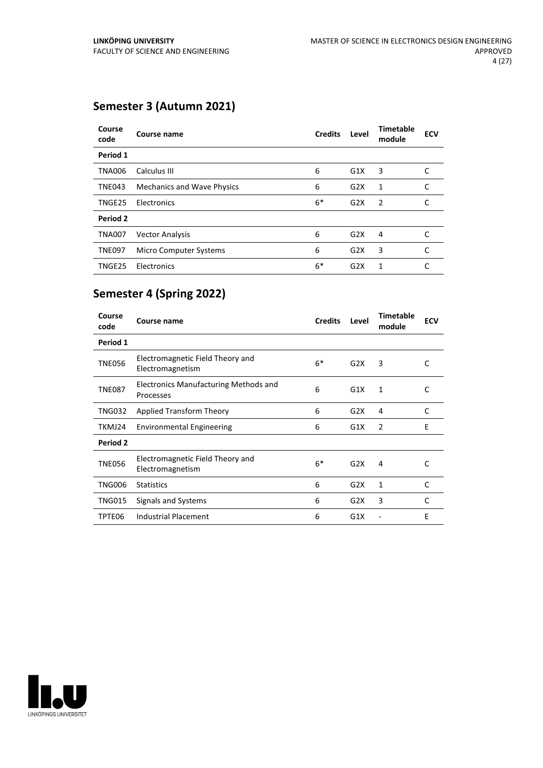# **Semester 3 (Autumn 2021)**

| Course<br>code | Course name                       | <b>Credits</b> | Level            | <b>Timetable</b><br>module | <b>ECV</b> |
|----------------|-----------------------------------|----------------|------------------|----------------------------|------------|
| Period 1       |                                   |                |                  |                            |            |
| <b>TNA006</b>  | Calculus III                      | 6              | G1X              | 3                          | C          |
| <b>TNE043</b>  | <b>Mechanics and Wave Physics</b> | 6              | G <sub>2</sub> X | 1                          | C          |
| TNGE25         | Electronics                       | $6*$           | G2X              | $\overline{2}$             | C          |
| Period 2       |                                   |                |                  |                            |            |
| <b>TNA007</b>  | <b>Vector Analysis</b>            | 6              | G <sub>2</sub> X | 4                          | C          |
| <b>TNE097</b>  | Micro Computer Systems            | 6              | G2X              | 3                          | C          |
| TNGE25         | Electronics                       | $6*$           | G2X              | 1                          | C          |

# **Semester 4 (Spring 2022)**

| Course<br>code  | Course name                                               | <b>Credits</b> | Level | <b>Timetable</b><br>module | <b>ECV</b>   |
|-----------------|-----------------------------------------------------------|----------------|-------|----------------------------|--------------|
| Period 1        |                                                           |                |       |                            |              |
| <b>TNE056</b>   | Electromagnetic Field Theory and<br>Electromagnetism      | $6*$           | G2X   | 3                          | C            |
| <b>TNE087</b>   | <b>Electronics Manufacturing Methods and</b><br>Processes | 6              | G1X   | 1                          | C            |
| <b>TNG032</b>   | Applied Transform Theory                                  | 6              | G2X   | 4                          | C            |
| TKMJ24          | <b>Environmental Engineering</b>                          | 6              | G1X   | 2                          | F            |
| <b>Period 2</b> |                                                           |                |       |                            |              |
| <b>TNE056</b>   | Electromagnetic Field Theory and<br>Electromagnetism      | $6*$           | G2X   | 4                          | C            |
| <b>TNG006</b>   | <b>Statistics</b>                                         | 6              | G2X   | 1                          | $\mathsf{C}$ |
| <b>TNG015</b>   | Signals and Systems                                       | 6              | G2X   | 3                          | C            |
| TPTE06          | Industrial Placement                                      | 6              | G1X   |                            | E            |

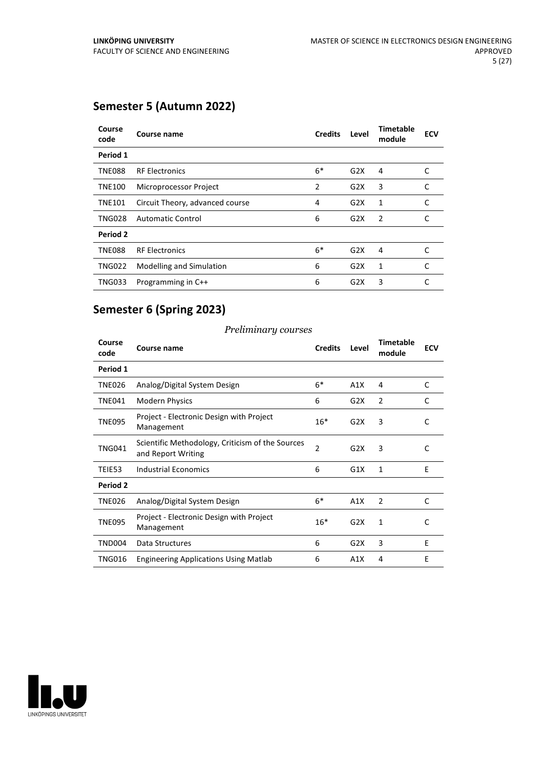# **Semester 5 (Autumn 2022)**

| Course<br>code | Course name                     | <b>Credits</b> | Level            | Timetable<br>module | <b>ECV</b> |
|----------------|---------------------------------|----------------|------------------|---------------------|------------|
| Period 1       |                                 |                |                  |                     |            |
| <b>TNE088</b>  | <b>RF Electronics</b>           | $6*$           | G2X              | 4                   | C          |
| <b>TNE100</b>  | Microprocessor Project          | 2              | G2X              | 3                   | C          |
| <b>TNE101</b>  | Circuit Theory, advanced course | 4              | G <sub>2</sub> X | 1                   | C          |
| <b>TNG028</b>  | <b>Automatic Control</b>        | 6              | G2X              | 2                   | C          |
| Period 2       |                                 |                |                  |                     |            |
| <b>TNE088</b>  | <b>RF Electronics</b>           | $6*$           | G <sub>2</sub> X | 4                   | C          |
| <b>TNG022</b>  | Modelling and Simulation        | 6              | G2X              | 1                   | C          |
| <b>TNG033</b>  | Programming in C++              | 6              | G2X              | 3                   | C          |

# **Semester 6 (Spring 2023)**

### *Preliminary courses*

| Course<br>code | <b>Course name</b>                                                     | <b>Credits</b> | Level | <b>Timetable</b><br>module | <b>ECV</b> |
|----------------|------------------------------------------------------------------------|----------------|-------|----------------------------|------------|
| Period 1       |                                                                        |                |       |                            |            |
| TNE026         | Analog/Digital System Design                                           | $6*$           | A1X   | 4                          | C          |
| TNE041         | <b>Modern Physics</b>                                                  | 6              | G2X   | 2                          | C          |
| <b>TNE095</b>  | Project - Electronic Design with Project<br>Management                 | $16*$          | G2X   | 3                          | C          |
| <b>TNG041</b>  | Scientific Methodology, Criticism of the Sources<br>and Report Writing | $\overline{2}$ | G2X   | 3                          | C          |
| TEIE53         | <b>Industrial Economics</b>                                            | 6              | G1X   | 1                          | E          |
| Period 2       |                                                                        |                |       |                            |            |
| <b>TNE026</b>  | Analog/Digital System Design                                           | $6*$           | A1X   | 2                          | C          |
| <b>TNE095</b>  | Project - Electronic Design with Project<br>Management                 | $16*$          | G2X   | 1                          | C          |
| <b>TND004</b>  | Data Structures                                                        | 6              | G2X   | 3                          | E          |
| <b>TNG016</b>  | <b>Engineering Applications Using Matlab</b>                           | 6              | A1X   | 4                          | E          |

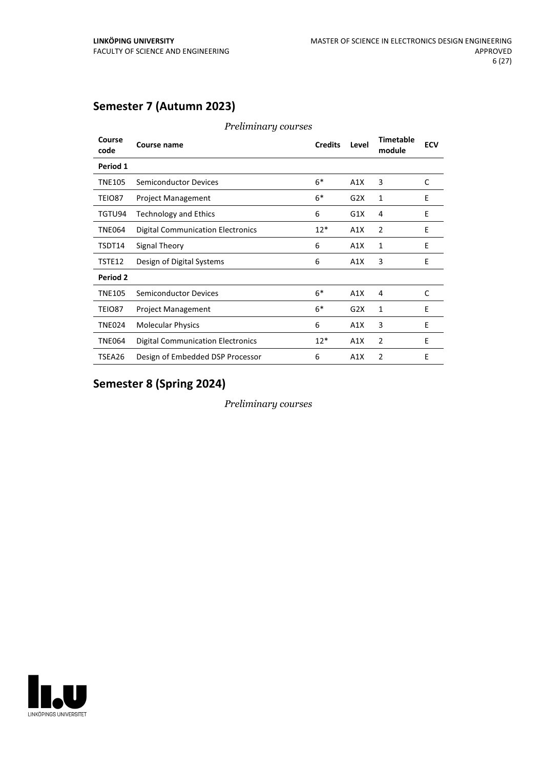# **Semester 7 (Autumn 2023)**

| Course<br>code | Course name                              | <b>Credits</b> | Level | <b>Timetable</b><br>module | <b>ECV</b> |
|----------------|------------------------------------------|----------------|-------|----------------------------|------------|
| Period 1       |                                          |                |       |                            |            |
| <b>TNE105</b>  | <b>Semiconductor Devices</b>             | $6*$           | A1X   | 3                          | C          |
| TEIO87         | <b>Project Management</b>                | $6*$           | G2X   | 1                          | E          |
| TGTU94         | <b>Technology and Ethics</b>             | 6              | G1X   | 4                          | E          |
| <b>TNE064</b>  | <b>Digital Communication Electronics</b> | $12*$          | A1X   | $\overline{2}$             | E          |
| TSDT14         | Signal Theory                            | 6              | A1X   | $\mathbf{1}$               | E          |
| TSTE12         | Design of Digital Systems                | 6              | A1X   | 3                          | E          |
| Period 2       |                                          |                |       |                            |            |
| <b>TNE105</b>  | <b>Semiconductor Devices</b>             | $6*$           | A1X   | 4                          | C          |
| TEIO87         | <b>Project Management</b>                | $6*$           | G2X   | 1                          | E          |
| <b>TNE024</b>  | <b>Molecular Physics</b>                 | 6              | A1X   | 3                          | E          |
| <b>TNE064</b>  | <b>Digital Communication Electronics</b> | $12*$          | A1X   | $\overline{2}$             | E          |
| TSEA26         | Design of Embedded DSP Processor         | 6              | A1X   | 2                          | Ε          |
|                |                                          |                |       |                            |            |

*Preliminary courses*

# **Semester 8 (Spring 2024)**

*Preliminary courses*

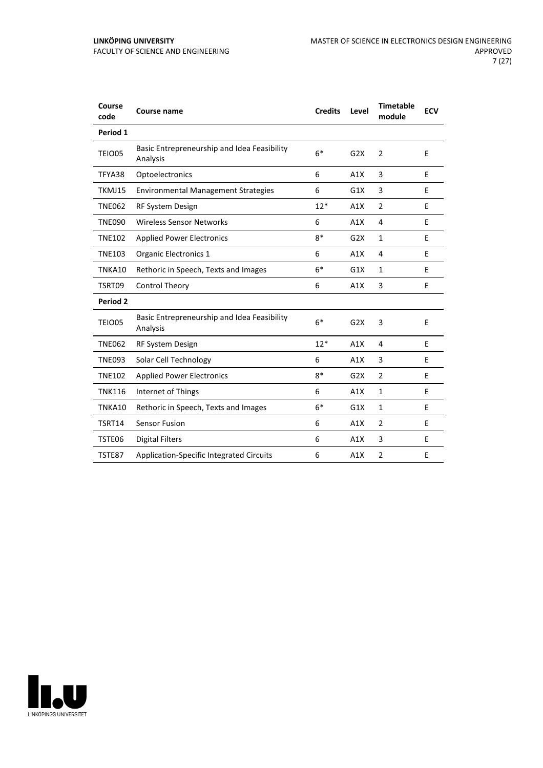| Course<br>code  | Course name                                             | <b>Credits</b> | Level | <b>Timetable</b><br>module | <b>ECV</b> |
|-----------------|---------------------------------------------------------|----------------|-------|----------------------------|------------|
| Period 1        |                                                         |                |       |                            |            |
| TEIO05          | Basic Entrepreneurship and Idea Feasibility<br>Analysis | $6*$           | G2X   | $\overline{2}$             | E          |
| TFYA38          | Optoelectronics                                         | 6              | A1X   | 3                          | E          |
| TKMJ15          | <b>Environmental Management Strategies</b>              | 6              | G1X   | 3                          | E          |
| <b>TNE062</b>   | RF System Design                                        | $12*$          | A1X   | $\overline{2}$             | E          |
| <b>TNE090</b>   | Wireless Sensor Networks                                | 6              | A1X   | 4                          | E          |
| <b>TNE102</b>   | <b>Applied Power Electronics</b>                        | $8*$           | G2X   | $\mathbf{1}$               | E          |
| <b>TNE103</b>   | Organic Electronics 1                                   | 6              | A1X   | 4                          | E          |
| TNKA10          | Rethoric in Speech, Texts and Images                    | $6*$           | G1X   | 1                          | Е          |
| TSRT09          | Control Theory                                          | 6              | A1X   | 3                          | E          |
| <b>Period 2</b> |                                                         |                |       |                            |            |
| TEIO05          | Basic Entrepreneurship and Idea Feasibility<br>Analysis | $6*$           | G2X   | 3                          | E          |
| <b>TNE062</b>   | RF System Design                                        | $12*$          | A1X   | 4                          | E          |
| <b>TNE093</b>   | Solar Cell Technology                                   | 6              | A1X   | 3                          | E          |
| <b>TNE102</b>   | <b>Applied Power Electronics</b>                        | $8*$           | G2X   | $\overline{2}$             | Е          |
| <b>TNK116</b>   | Internet of Things                                      | 6              | A1X   | $\mathbf{1}$               | E          |
| TNKA10          | Rethoric in Speech, Texts and Images                    | $6*$           | G1X   | $\mathbf{1}$               | Ε          |
| TSRT14          | <b>Sensor Fusion</b>                                    | 6              | A1X   | $\overline{2}$             | E          |
| TSTE06          | <b>Digital Filters</b>                                  | 6              | A1X   | 3                          | Е          |
| TSTE87          | Application-Specific Integrated Circuits                | 6              | A1X   | $\overline{2}$             | E          |

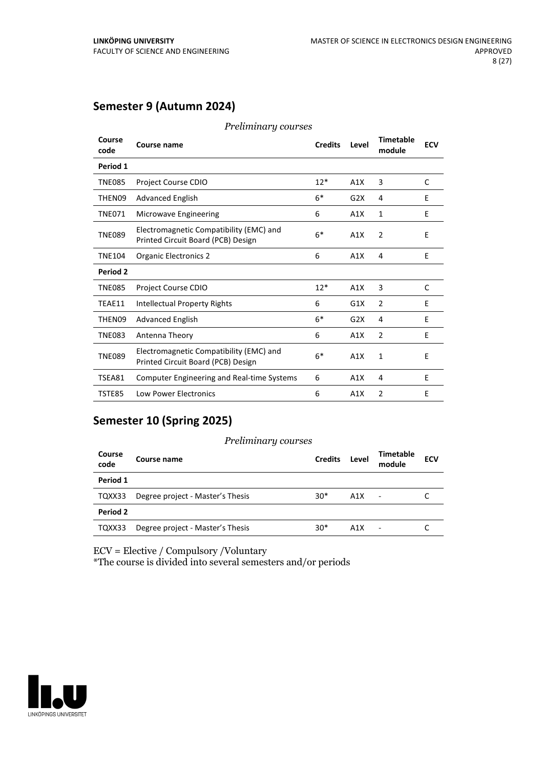# **Semester 9 (Autumn 2024)**

| Course<br>code  | Course name                                                                   | <b>Credits</b> | Level | <b>Timetable</b><br>module | <b>ECV</b> |
|-----------------|-------------------------------------------------------------------------------|----------------|-------|----------------------------|------------|
| Period 1        |                                                                               |                |       |                            |            |
| <b>TNE085</b>   | Project Course CDIO                                                           | $12*$          | A1X   | 3                          | C          |
| THEN09          | <b>Advanced English</b>                                                       | $6*$           | G2X   | 4                          | E          |
| <b>TNE071</b>   | Microwave Engineering                                                         | 6              | A1X   | $\mathbf{1}$               | E          |
| <b>TNE089</b>   | Electromagnetic Compatibility (EMC) and<br>Printed Circuit Board (PCB) Design | $6*$           | A1X   | $\overline{2}$             | E          |
| <b>TNE104</b>   | <b>Organic Electronics 2</b>                                                  | 6              | A1X   | 4                          | E          |
| <b>Period 2</b> |                                                                               |                |       |                            |            |
| <b>TNE085</b>   | Project Course CDIO                                                           | $12*$          | A1X   | 3                          | C          |
| TEAE11          | <b>Intellectual Property Rights</b>                                           | 6              | G1X   | $\overline{2}$             | E          |
| THEN09          | <b>Advanced English</b>                                                       | $6*$           | G2X   | 4                          | E          |
| <b>TNE083</b>   | Antenna Theory                                                                | 6              | A1X   | $\overline{2}$             | E          |
| <b>TNE089</b>   | Electromagnetic Compatibility (EMC) and<br>Printed Circuit Board (PCB) Design | $6*$           | A1X   | $\mathbf{1}$               | E          |
| TSEA81          | <b>Computer Engineering and Real-time Systems</b>                             | 6              | A1X   | 4                          | E          |
| TSTE85          | <b>Low Power Electronics</b>                                                  | 6              | A1X   | $\overline{2}$             | E          |

#### *Preliminary courses*

# **Semester 10 (Spring 2025)**

#### *Preliminary courses*

| Course<br>code | Course name                      | <b>Credits</b> | Level            | Timetable<br>module | <b>ECV</b> |
|----------------|----------------------------------|----------------|------------------|---------------------|------------|
| Period 1       |                                  |                |                  |                     |            |
| TQXX33         | Degree project - Master's Thesis | $30*$          | A1X              | $\blacksquare$      |            |
| Period 2       |                                  |                |                  |                     |            |
| TQXX33         | Degree project - Master's Thesis | $30*$          | A <sub>1</sub> X |                     |            |

ECV = Elective / Compulsory /Voluntary

\*The course is divided into several semesters and/or periods

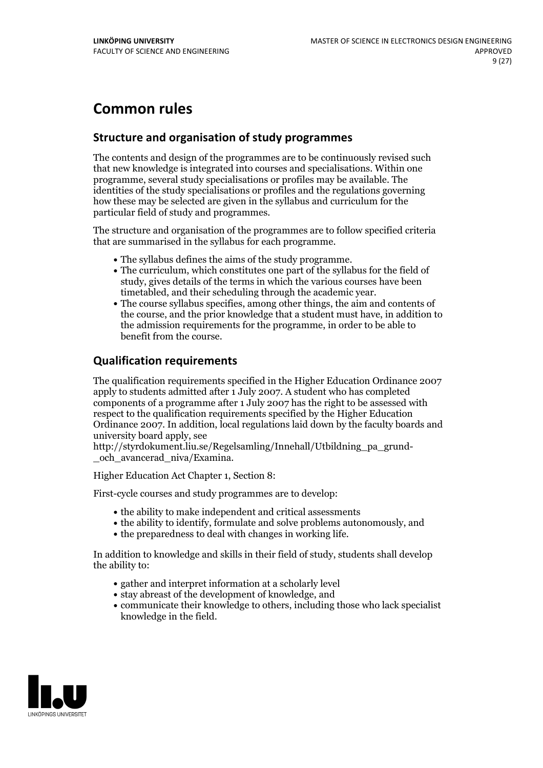# **Common rules**

# **Structure and organisation of study programmes**

The contents and design of the programmes are to be continuously revised such that new knowledge is integrated into courses and specialisations. Within one programme, several study specialisations or profiles may be available. The identities of the study specialisations or profiles and the regulations governing how these may be selected are given in the syllabus and curriculum for the particular field of study and programmes.

The structure and organisation of the programmes are to follow specified criteria that are summarised in the syllabus for each programme.

- 
- The syllabus defines the aims of the study programme.<br>• The curriculum, which constitutes one part of the syllabus for the field of study, gives details of the terms in which the various courses have been
- The course syllabus specifies, among other things, the aim and contents of the course, and the prior knowledge that a student must have, in addition to the admission requirements for the programme, in order to be able to benefit from the course.

# **Qualification requirements**

The qualification requirements specified in the Higher Education Ordinance 2007 apply to students admitted after 1 July 2007. A student who has completed components of a programme after 1 July 2007 has the right to be assessed with respect to the qualification requirements specified by the Higher Education Ordinance 2007. In addition, local regulations laid down by the faculty boards and university board apply, see

http://styrdokument.liu.se/Regelsamling/Innehall/Utbildning\_pa\_grund-och\_avancerad\_niva/Examina.

Higher Education Act Chapter 1, Section 8:

First-cycle courses and study programmes are to develop:

- the ability to make independent and critical assessments
- the ability to identify, formulate and solve problems autonomously, and
- the preparedness to deal with changes in working life.

In addition to knowledge and skills in their field of study, students shall develop the ability to:

- gather and interpret information at a scholarly level
- stay abreast of the development of knowledge, and
- communicate their knowledge to others, including those who lack specialist knowledge in the field.

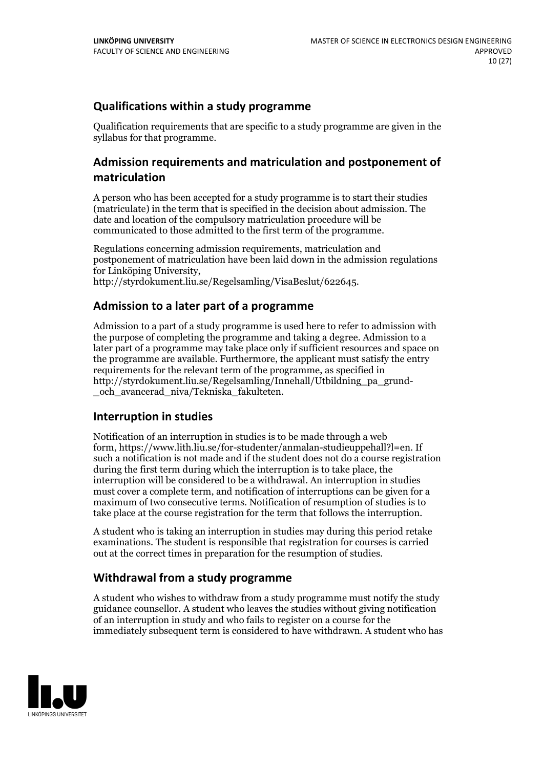# **Qualifications within a study programme**

Qualification requirements that are specific to a study programme are given in the syllabus for that programme.

# **Admission requirements and matriculation and postponement of matriculation**

A person who has been accepted for a study programme is to start their studies (matriculate) in the term that is specified in the decision about admission. The date and location of the compulsory matriculation procedure will be communicated to those admitted to the first term of the programme.

Regulations concerning admission requirements, matriculation and postponement of matriculation have been laid down in the admission regulations for Linköping University, http://styrdokument.liu.se/Regelsamling/VisaBeslut/622645.

### **Admission to a later part of a programme**

Admission to a part of a study programme is used here to refer to admission with the purpose of completing the programme and taking a degree. Admission to a later part of a programme may take place only if sufficient resources and space on the programme are available. Furthermore, the applicant must satisfy the entry requirements for the relevant term of the programme, as specified in http://styrdokument.liu.se/Regelsamling/Innehall/Utbildning\_pa\_grund- \_och\_avancerad\_niva/Tekniska\_fakulteten.

# **Interruption in studies**

Notification of an interruption in studies is to be made through a web form, https://www.lith.liu.se/for-studenter/anmalan-studieuppehall?l=en. If such a notification is not made and if the student does not do a course registration during the first term during which the interruption is to take place, the interruption will be considered to be a withdrawal. An interruption in studies must cover a complete term, and notification of interruptions can be given for a maximum of two consecutive terms. Notification of resumption of studies is to take place at the course registration for the term that follows the interruption.

A student who is taking an interruption in studies may during this period retake examinations. The student is responsible that registration for courses is carried out at the correct times in preparation for the resumption of studies.

# **Withdrawal from a study programme**

A student who wishes to withdraw from a study programme must notify the study guidance counsellor. A student who leaves the studies without giving notification of an interruption in study and who fails to register on a course for the immediately subsequent term is considered to have withdrawn. A student who has

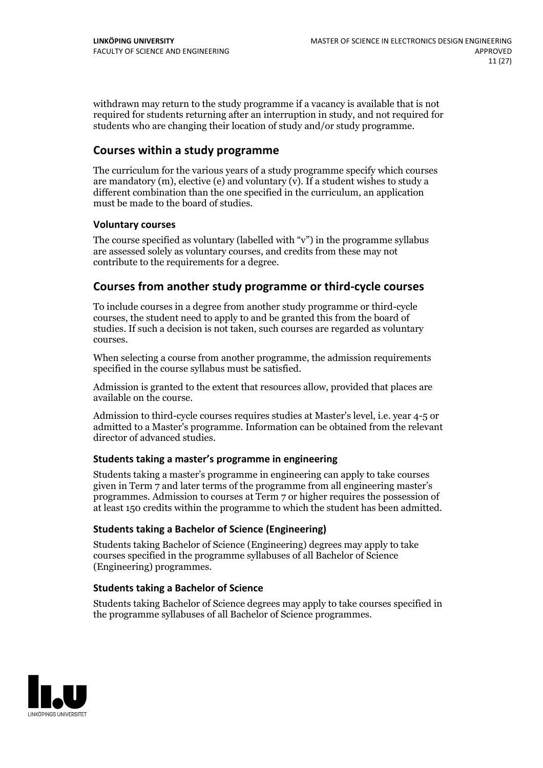withdrawn may return to the study programme if a vacancy is available that is not required for students returning after an interruption in study, and not required for students who are changing their location of study and/or study programme.

# **Courses within a study programme**

The curriculum for the various years of a study programme specify which courses are mandatory  $(m)$ , elective (e) and voluntary  $(v)$ . If a student wishes to study a different combination than the one specified in the curriculum, an application must be made to the board of studies.

#### **Voluntarycourses**

The course specified as voluntary (labelled with "v") in the programme syllabus are assessed solely as voluntary courses, and credits from these may not contribute to the requirements for a degree.

### **Courses from another study programme orthird-cycle courses**

To include courses in a degree from another study programme or third-cycle courses, the student need to apply to and be granted this from the board of studies. If such a decision is not taken, such courses are regarded as voluntary courses.

When selecting a course from another programme, the admission requirements specified in the course syllabus must be satisfied.

Admission is granted to the extent that resources allow, provided that places are available on the course.

Admission to third-cycle courses requires studies at Master's level, i.e. year 4-5 or admitted to a Master's programme. Information can be obtained from the relevant director of advanced studies.

#### **Students taking a master's programme in engineering**

Students taking a master's programme in engineering can apply to take courses given in Term 7 and later terms of the programme from all engineering master's programmes. Admission to courses at Term 7 or higher requires the possession of at least 150 credits within the programme to which the student has been admitted.

#### **Students taking a Bachelor of Science (Engineering)**

Students taking Bachelor of Science (Engineering) degrees may apply to take courses specified in the programme syllabuses of all Bachelor of Science (Engineering) programmes.

#### **Students taking a Bachelor of Science**

Students taking Bachelor of Science degrees may apply to take courses specified in the programme syllabuses of all Bachelor of Science programmes.

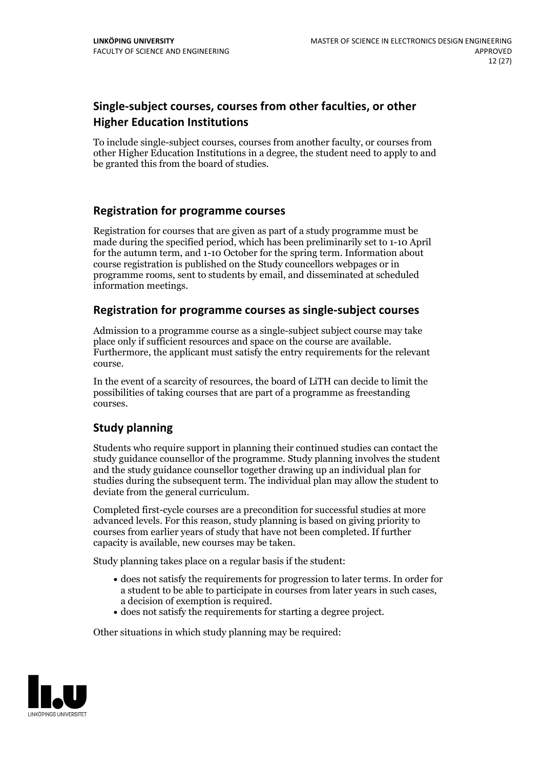# **Single-subject courses, courses from other faculties, or other Higher Education Institutions**

To include single-subject courses, courses from another faculty, or courses from other Higher Education Institutions in a degree, the student need to apply to and be granted this from the board of studies.

### **Registration for programme courses**

Registration for courses that are given as part of a study programme must be made during the specified period, which has been preliminarily set to 1-10 April for the autumn term, and 1-10 October for the spring term. Information about course registration is published on the Study councellors webpages or in programme rooms, sent to students by email, and disseminated at scheduled information meetings.

### **Registration for programme courses as single-subject courses**

Admission to a programme course as a single-subject subject course may take place only if sufficient resources and space on the course are available. Furthermore, the applicant must satisfy the entry requirements for the relevant course.

In the event of a scarcity of resources, the board of LiTH can decide to limit the possibilities of taking courses that are part of a programme as freestanding courses.

# **Study planning**

Students who require support in planning their continued studies can contact the study guidance counsellor of the programme. Study planning involves the student and the study guidance counsellor together drawing up an individual plan for studies during the subsequent term. The individual plan may allow the student to deviate from the general curriculum.

Completed first-cycle courses are a precondition for successful studies at more advanced levels. For this reason, study planning is based on giving priority to courses from earlier years of study that have not been completed. If further capacity is available, new courses may be taken.

Study planning takes place on a regular basis if the student:

- does not satisfy the requirements for progression to later terms. In order for a student to be able to participate in courses from later years in such cases, a decision of exemption is required.<br>
• does not satisfy the requirements for starting a degree project.
- 

Other situations in which study planning may be required:

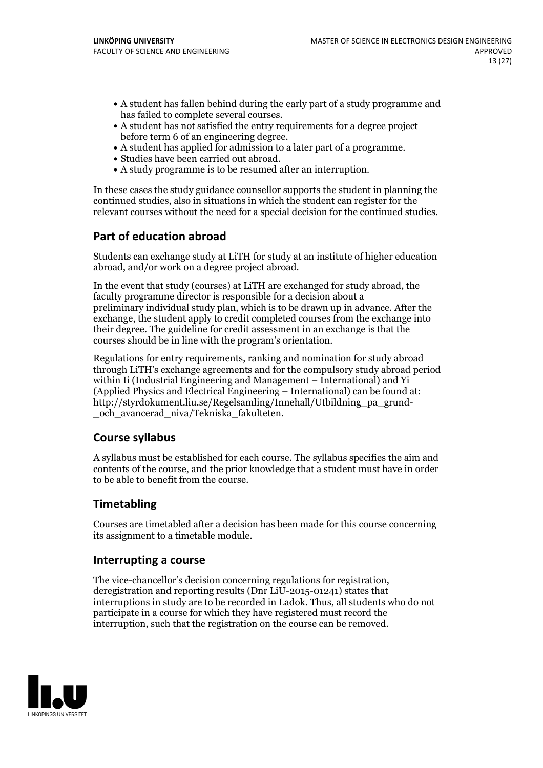- A student has fallen behind during the early part of a study programme and
- has failed to complete several courses.<br>• A student has not satisfied the entry requirements for a degree project<br>before term 6 of an engineering degree.
- A student has applied for admission to a later part of a programme.<br>• Studies have been carried out abroad.<br>• A study programme is to be resumed after an interruption.
- 
- 

In these cases the study guidance counsellor supports the student in planning the continued studies, also in situations in which the student can register for the relevant courses without the need for a special decision for the continued studies.

# **Part of education abroad**

Students can exchange study at LiTH for study at an institute of higher education abroad, and/or work on a degree project abroad.

In the event that study (courses) at LiTH are exchanged for study abroad, the faculty programme director is responsible for a decision about a preliminary individual study plan, which is to be drawn up in advance. After the exchange, the student apply to credit completed courses from the exchange into their degree. The guideline for credit assessment in an exchange is that the courses should be in line with the program's orientation.

Regulations for entry requirements, ranking and nomination for study abroad through LiTH's exchange agreements and for the compulsory study abroad period within Ii (Industrial Engineering and Management – International) and Yi (Applied Physics and Electrical Engineering – International) can be found at: http://styrdokument.liu.se/Regelsamling/Innehall/Utbildning\_pa\_grund- \_och\_avancerad\_niva/Tekniska\_fakulteten.

# **Course syllabus**

A syllabus must be established for each course. The syllabus specifies the aim and contents of the course, and the prior knowledge that a student must have in order to be able to benefit from the course.

# **Timetabling**

Courses are timetabled after a decision has been made for this course concerning its assignment to a timetable module.

#### **Interrupting a course**

The vice-chancellor's decision concerning regulations for registration, deregistration and reporting results (Dnr LiU-2015-01241) states that interruptions in study are to be recorded in Ladok. Thus, all students who do not participate in a course for which they have registered must record the interruption, such that the registration on the course can be removed.

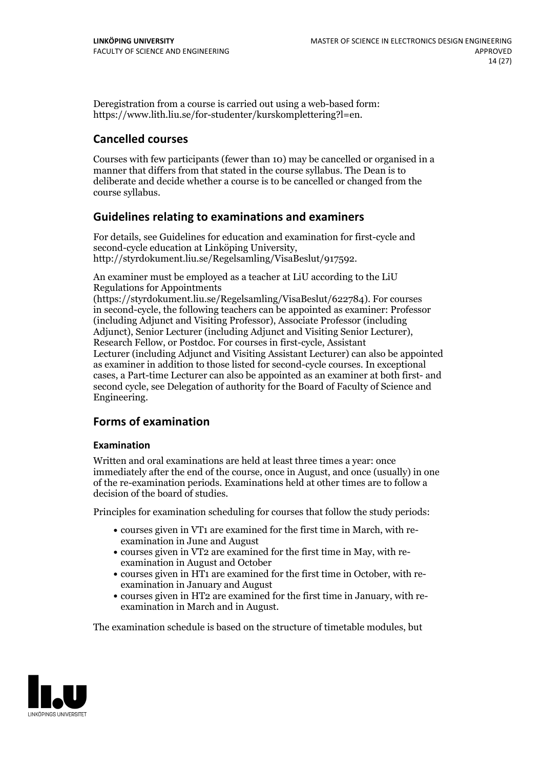Deregistration from a course is carried out using a web-based form: https://www.lith.liu.se/for-studenter/kurskomplettering?l=en.

# **Cancelled courses**

Courses with few participants (fewer than 10) may be cancelled or organised in a manner that differs from that stated in the course syllabus. The Dean is to deliberate and decide whether a course is to be cancelled or changed from the course syllabus.

### **Guidelines relatingto examinations and examiners**

For details, see Guidelines for education and examination for first-cycle and second-cycle education at Linköping University, http://styrdokument.liu.se/Regelsamling/VisaBeslut/917592.

An examiner must be employed as a teacher at LiU according to the LiU Regulations for Appointments

(https://styrdokument.liu.se/Regelsamling/VisaBeslut/622784). For courses in second-cycle, the following teachers can be appointed as examiner: Professor (including Adjunct and Visiting Professor), Associate Professor (including Adjunct), Senior Lecturer (including Adjunct and Visiting Senior Lecturer), Research Fellow, or Postdoc. For courses in first-cycle, Assistant Lecturer (including Adjunct and Visiting Assistant Lecturer) can also be appointed as examiner in addition to those listed for second-cycle courses. In exceptional cases, a Part-time Lecturer can also be appointed as an examiner at both first- and second cycle, see Delegation of authority for the Board of Faculty of Science and Engineering.

# **Forms of examination**

#### **Examination**

Written and oral examinations are held at least three times a year: once immediately after the end of the course, once in August, and once (usually) in one of the re-examination periods. Examinations held at other times are to follow a decision of the board of studies.

Principles for examination scheduling for courses that follow the study periods:

- courses given in VT1 are examined for the first time in March, with re-examination in June and August
- courses given in VT2 are examined for the first time in May, with re-examination in August and October
- courses given in HT1 are examined for the first time in October, with re-examination in January and August
- courses given in HT2 are examined for the first time in January, with re-examination in March and in August.

The examination schedule is based on the structure of timetable modules, but

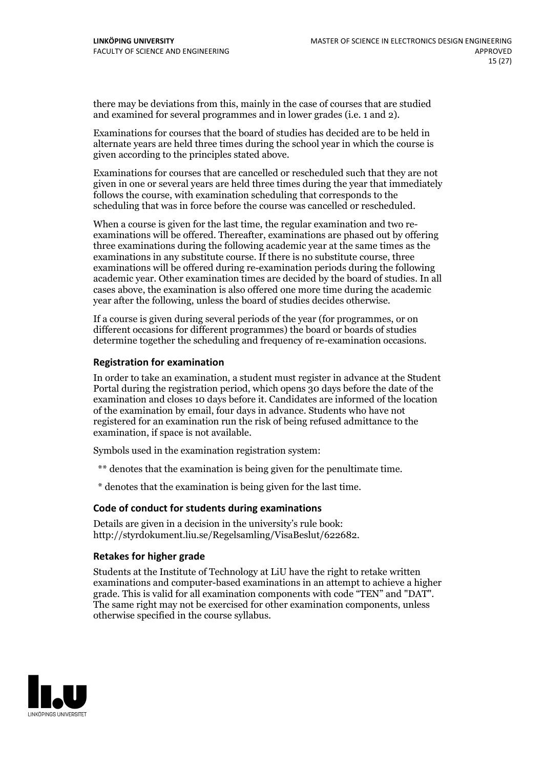there may be deviations from this, mainly in the case of courses that are studied and examined for several programmes and in lower grades (i.e. 1 and 2).

Examinations for courses that the board of studies has decided are to be held in alternate years are held three times during the school year in which the course is given according to the principles stated above.

Examinations for courses that are cancelled or rescheduled such that they are not given in one or several years are held three times during the year that immediately follows the course, with examination scheduling that corresponds to the scheduling that was in force before the course was cancelled or rescheduled.

When a course is given for the last time, the regular examination and two re-<br>examinations will be offered. Thereafter, examinations are phased out by offering three examinations during the following academic year at the same times as the examinations in any substitute course. If there is no substitute course, three examinations will be offered during re-examination periods during the following academic year. Other examination times are decided by the board of studies. In all cases above, the examination is also offered one more time during the academic year after the following, unless the board of studies decides otherwise.

If a course is given during several periods of the year (for programmes, or on different occasions for different programmes) the board or boards of studies determine together the scheduling and frequency of re-examination occasions.

#### **Registration for examination**

In order to take an examination, a student must register in advance at the Student Portal during the registration period, which opens 30 days before the date of the examination and closes 10 days before it. Candidates are informed of the location of the examination by email, four days in advance. Students who have not registered for an examination run the risk of being refused admittance to the examination, if space is not available.

Symbols used in the examination registration system:

\*\* denotes that the examination is being given for the penultimate time.

\* denotes that the examination is being given for the last time.

#### **Code of conduct for students during examinations**

Details are given in a decision in the university's rule book: http://styrdokument.liu.se/Regelsamling/VisaBeslut/622682.

#### **Retakes for higher grade**

Students at the Institute of Technology at LiU have the right to retake written examinations and computer-based examinations in an attempt to achieve a higher grade. This is valid for all examination components with code "TEN" and "DAT". The same right may not be exercised for other examination components, unless otherwise specified in the course syllabus.

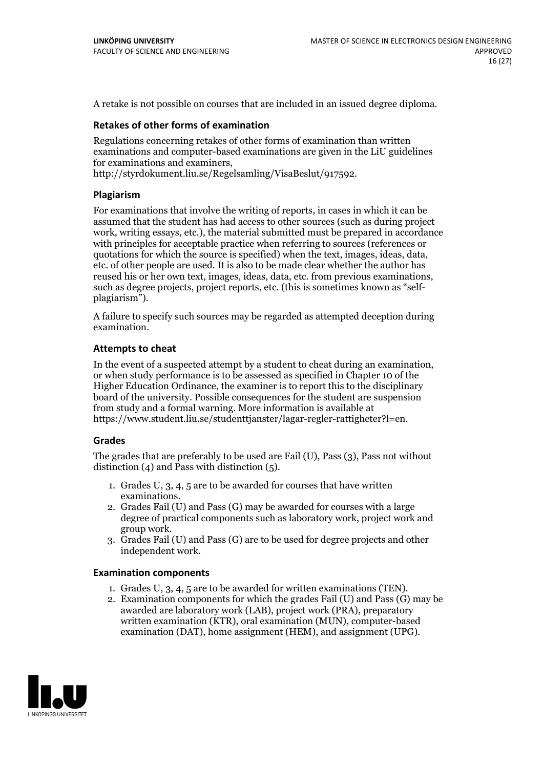A retake is not possible on courses that are included in an issued degree diploma.

#### **Retakes of other forms of examination**

Regulations concerning retakes of other forms of examination than written examinations and computer-based examinations are given in the LiU guidelines for examinations and examiners, http://styrdokument.liu.se/Regelsamling/VisaBeslut/917592.

#### **Plagiarism**

For examinations that involve the writing of reports, in cases in which it can be assumed that the student has had access to other sources (such as during project work, writing essays, etc.), the material submitted must be prepared in accordance with principles for acceptable practice when referring to sources (references or quotations for which the source is specified) when the text, images, ideas, data, etc. of other people are used. It is also to be made clear whether the author has reused his or her own text, images, ideas, data, etc. from previous examinations, such as degree projects, project reports, etc. (this is sometimes known as "self- plagiarism").

A failure to specify such sources may be regarded as attempted deception during examination.

#### **Attempts to cheat**

In the event of <sup>a</sup> suspected attempt by <sup>a</sup> student to cheat during an examination, or when study performance is to be assessed as specified in Chapter <sup>10</sup> of the Higher Education Ordinance, the examiner is to report this to the disciplinary board of the university. Possible consequences for the student are suspension from study and a formal warning. More information is available at https://www.student.liu.se/studenttjanster/lagar-regler-rattigheter?l=en.

#### **Grades**

The grades that are preferably to be used are Fail (U), Pass (3), Pass not without distinction  $(4)$  and Pass with distinction  $(5)$ .

- 1. Grades U, 3, 4, 5 are to be awarded for courses that have written
- examinations. 2. Grades Fail (U) and Pass (G) may be awarded for courses with <sup>a</sup> large degree of practical components such as laboratory work, project work and group work. 3. Grades Fail (U) and Pass (G) are to be used for degree projects and other
- independent work.

#### **Examination components**

- 1. Grades U, 3, 4, <sup>5</sup> are to be awarded for written examinations (TEN). 2. Examination components for which the grades Fail (U) and Pass (G) may be
- awarded are laboratory work (LAB), project work (PRA), preparatory written examination (KTR), oral examination (MUN), computer-based examination (DAT), home assignment (HEM), and assignment (UPG).

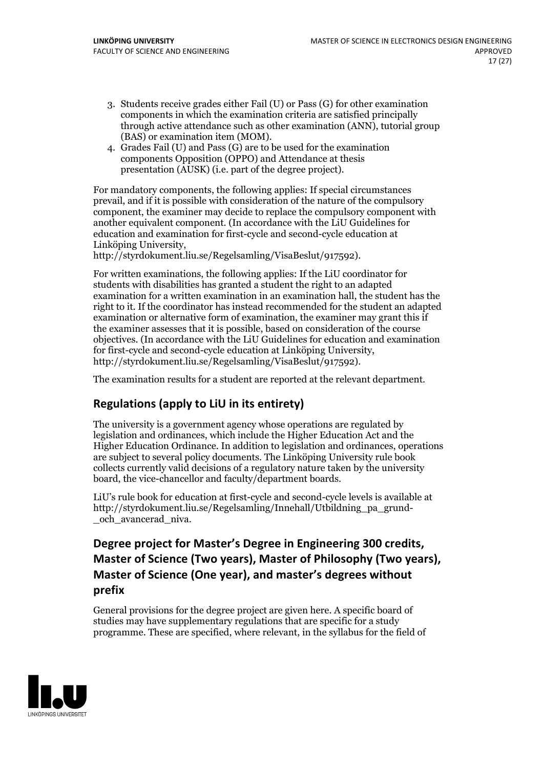- 3. Students receive grades either Fail (U) or Pass (G) for other examination components in which the examination criteria are satisfied principally through active attendance such as other examination (ANN), tutorial group (BAS) or examination item (MOM). 4. Grades Fail (U) and Pass (G) are to be used for the examination
- components Opposition (OPPO) and Attendance at thesis presentation (AUSK) (i.e. part of the degree project).

For mandatory components, the following applies: If special circumstances prevail, and if it is possible with consideration of the nature ofthe compulsory component, the examiner may decide to replace the compulsory component with another equivalent component. (In accordance with the LiU Guidelines for education and examination for first-cycle and second-cycle education at Linköping University, http://styrdokument.liu.se/Regelsamling/VisaBeslut/917592).

For written examinations, the following applies: If the LiU coordinator for students with disabilities has granted a student the right to an adapted examination for a written examination in an examination hall, the student has the right to it. If the coordinator has instead recommended for the student an adapted examination or alternative form of examination, the examiner may grant this if the examiner assesses that it is possible, based on consideration of the course objectives. (In accordance with the LiU Guidelines for education and examination for first-cycle and second-cycle education at Linköping University, http://styrdokument.liu.se/Regelsamling/VisaBeslut/917592).

The examination results for a student are reported at the relevant department.

# **Regulations (applyto LiU in its entirety)**

The university is a government agency whose operations are regulated by legislation and ordinances, which include the Higher Education Act and the Higher Education Ordinance. In addition to legislation and ordinances, operations are subject to several policy documents. The Linköping University rule book collects currently valid decisions of a regulatory nature taken by the university board, the vice-chancellor and faculty/department boards.

LiU's rule book for education at first-cycle and second-cycle levels is available at http://styrdokument.liu.se/Regelsamling/Innehall/Utbildning\_pa\_grund- \_och\_avancerad\_niva.

# **Degree project for Master's Degree in Engineering 300 credits, Master** of Science (Two years), Master of Philosophy (Two years), **Master** of Science (One year), and master's degrees without **prefix**

General provisions for the degree project are given here. A specific board of studies may have supplementary regulations that are specific for a study programme. These are specified, where relevant, in the syllabus for the field of

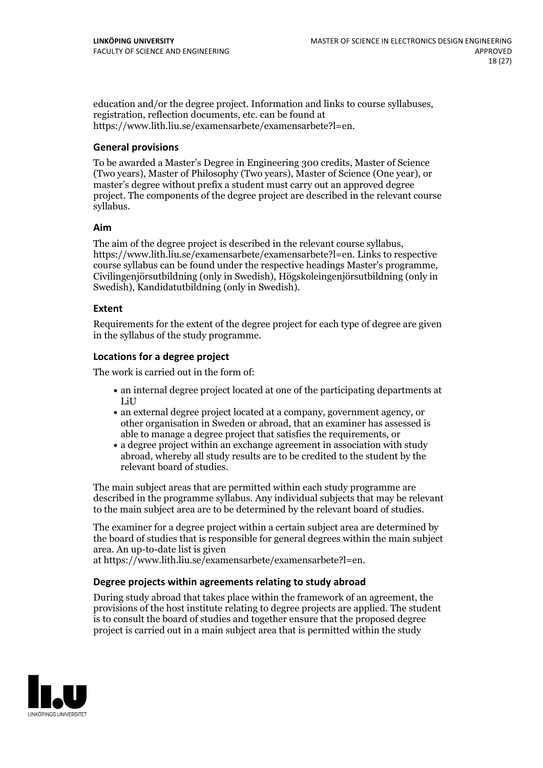education and/or the degree project. Information and links to course syllabuses, registration, reflection documents, etc. can be found at https://www.lith.liu.se/examensarbete/examensarbete?l=en.

#### **General provisions**

To be awarded a Master's Degree in Engineering 300 credits, Master of Science (Two years), Master of Philosophy (Two years), Master of Science (One year), or master's degree without prefix a student must carry out an approved degree project. The components of the degree project are described in the relevant course syllabus.

#### **Aim**

The aim of the degree project is described in the relevant course syllabus, https://www.lith.liu.se/examensarbete/examensarbete?l=en. Links to respective Civiling enjörsutbildning (only in Swedish), Högskoleing enjörsutbildning (only in Swedish), Kandidatutbildning (only in Swedish).

#### **Extent**

Requirements for the extent of the degree project for each type of degree are given in the syllabus of the study programme.

#### **Locations for a degree project**

The work is carried out in the form of:

- an internal degree project located at one of the participating departments at LiU
- an external degree project located at a company, government agency, or other organisation in Sweden or abroad, that an examiner has assessed is able to manage a degree project that satisfies the requirements, or
- a degree project within an exchange agreement in association with study abroad, whereby all study results are to be credited to the student by the relevant board of studies.

The main subject areas that are permitted within each study programme are described in the programme syllabus. Any individual subjects that may be relevant to the main subject area are to be determined by the relevant board of studies.

The examiner for a degree project within a certain subject area are determined by the board of studies that is responsible for general degrees within the main subject area. An up-to-date list is given

at https://www.lith.liu.se/examensarbete/examensarbete?l=en.

#### **Degree projects within agreements relatingto study abroad**

During study abroad that takes place within the framework of an agreement, the provisions of the host institute relating to degree projects are applied. The student is to consult the board of studies and together ensure that the proposed degree project is carried out in a main subject area that is permitted within the study

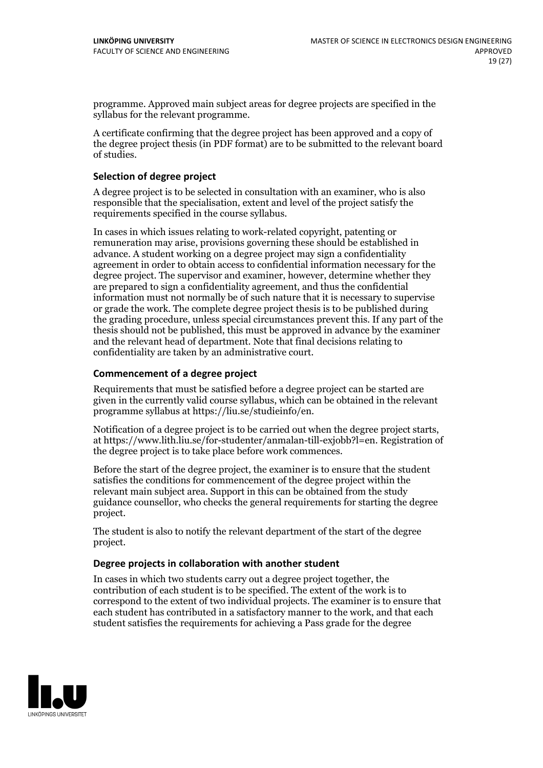programme. Approved main subject areas for degree projects are specified in the syllabus for the relevant programme.

A certificate confirming that the degree project has been approved and a copy of the degree project thesis (in PDF format) are to be submitted to the relevant board of studies.

#### **Selection of degree project**

A degree project is to be selected in consultation with an examiner, who is also responsible that the specialisation, extent and level of the project satisfy the requirements specified in the course syllabus.

In cases in which issues relating to work-related copyright, patenting or remuneration may arise, provisions governing these should be established in advance. A student working on a degree project may sign a confidentiality agreement in order to obtain access to confidential information necessary for the degree project. The supervisor and examiner, however, determine whether they are prepared to sign a confidentiality agreement, and thus the confidential information must not normally be of such nature that it is necessary to supervise or grade the work. The complete degree project thesis is to be published during the grading procedure, unless special circumstances prevent this. If any part of the thesis should not be published, this must be approved in advance by the examiner and the relevant head of department. Note that final decisions relating to confidentiality are taken by an administrative court.

#### **Commencement of a degree project**

Requirements that must be satisfied before a degree project can be started are given in the currently valid course syllabus, which can be obtained in the relevant programme syllabus at https://liu.se/studieinfo/en.

Notification of <sup>a</sup> degree project is to be carried outwhen the degree project starts, at https://www.lith.liu.se/for-studenter/anmalan-till-exjobb?l=en. Registration of the degree project is to take place before work commences.

Before the start of the degree project, the examiner is to ensure that the student satisfies the conditions for commencement of the degree project within the relevant main subject area. Support in this can be obtained from the study guidance counsellor, who checks the general requirements for starting the degree project.

The student is also to notify the relevant department of the start of the degree project.

#### **Degree projects in collaboration with another student**

In cases in which two students carry out a degree project together, the contribution of each student is to be specified. The extent of the work is to correspond to the extent of two individual projects. The examiner is to ensure that each student has contributed in a satisfactory manner to the work, and that each student satisfies the requirements for achieving a Pass grade for the degree

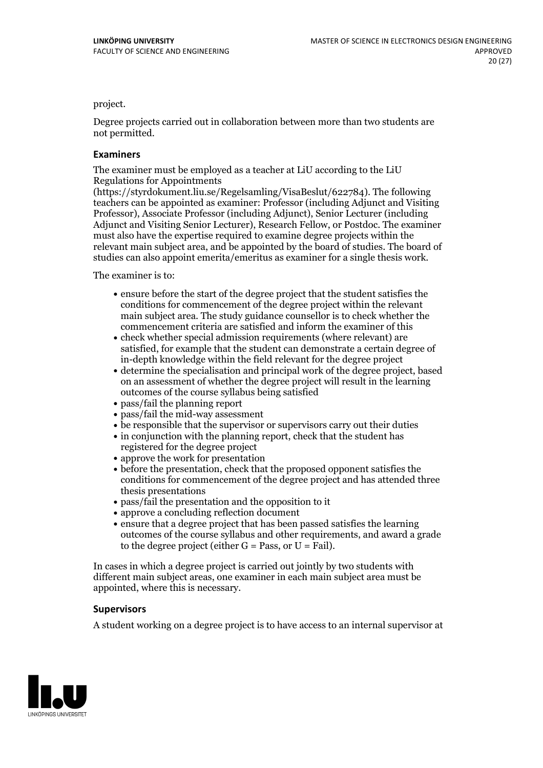project.

Degree projects carried out in collaboration between more than two students are not permitted.

#### **Examiners**

The examiner must be employed as a teacher at LiU according to the LiU Regulations for Appointments

(https://styrdokument.liu.se/Regelsamling/VisaBeslut/622784). The following teachers can be appointed as examiner: Professor (including Adjunct and Visiting Professor), Associate Professor (including Adjunct), Senior Lecturer (including Adjunct and Visiting Senior Lecturer), Research Fellow, or Postdoc. The examiner must also have the expertise required to examine degree projects within the relevant main subject area, and be appointed by the board of studies. The board of studies can also appoint emerita/emeritus as examiner for a single thesis work.

The examiner is to:

- ensure before the start of the degree project that the student satisfies the conditions for commencement of the degree project within the relevant main subject area. The study guidance counsellor is to check whether the commencement criteria are satisfied and inform the examiner of this
- check whether special admission requirements (where relevant) are satisfied, for example that the student can demonstrate a certain degree of in-depth knowledge within the field relevant for the degree project
- determine the specialisation and principal work of the degree project, based on an assessment of whether the degree project will result in the learning outcomes of the course syllabus being satisfied
- pass/fail the planning report
- pass/fail the mid-way assessment
- be responsible that the supervisor or supervisors carry out their duties
- in conjunction with the planning report, check that the student has registered for the degree project
- approve the work for presentation
- before the presentation, check that the proposed opponent satisfies the conditions for commencement of the degree project and has attended three thesis presentations
- pass/fail the presentation and the opposition to it
- approve a concluding reflection document
- ensure that a degree project that has been passed satisfies the learning outcomes of the course syllabus and other requirements, and award a grade to the degree project (either  $G = Pass$ , or  $U = Fail$ ).

In cases in which a degree project is carried out jointly by two students with different main subject areas, one examiner in each main subject area must be appointed, where this is necessary.

#### **Supervisors**

A student working on a degree project is to have access to an internal supervisor at

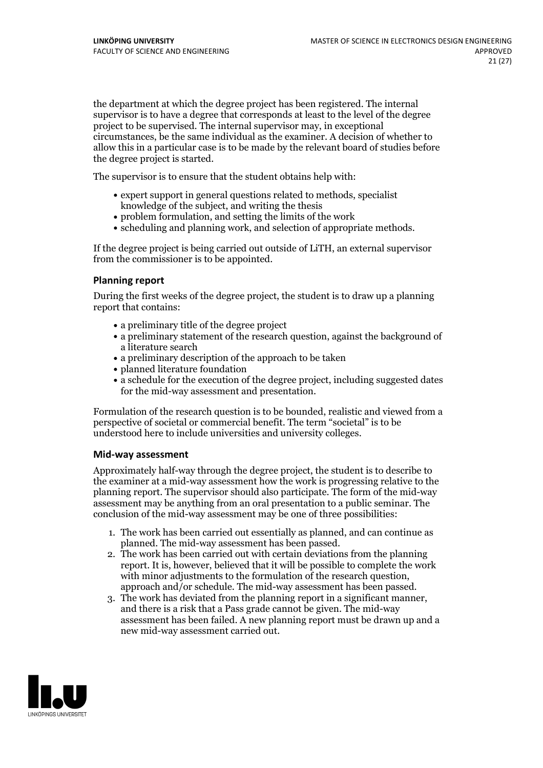the department at which the degree project has been registered. The internal supervisor is to have a degree that corresponds at least to the level of the degree project to be supervised. The internal supervisor may, in exceptional circumstances, be the same individual as the examiner. A decision of whether to allow this in a particular case is to be made by the relevant board of studies before the degree project is started.

The supervisor is to ensure that the student obtains help with:

- expert support in general questions related to methods, specialist knowledge of the subject, and writing the thesis
- problem formulation, and setting the limits of the work
- scheduling and planning work, and selection of appropriate methods.

If the degree project is being carried out outside of LiTH, an external supervisor from the commissioner is to be appointed.

#### **Planning report**

During the first weeks of the degree project, the student is to draw up a planning report that contains:

- $\bullet$  a preliminary title of the degree project
- a preliminary statement of the research question, against the background of a literature search
- a preliminary description of the approach to be taken
- planned literature foundation
- a schedule for the execution of the degree project, including suggested dates for the mid-way assessment and presentation.

Formulation of the research question is to be bounded, realistic and viewed from a perspective ofsocietal or commercial benefit. The term "societal" is to be understood here to include universities and university colleges.

#### **Mid-way assessment**

Approximately half-way through the degree project, the student is to describe to the examiner at a mid-way assessment how the work is progressing relative to the planning report. The supervisor should also participate. The form of the mid-way assessment may be anything from an oral presentation to a public seminar. The conclusion of the mid-way assessment may be one of three possibilities:

- 1. The work has been carried out essentially as planned, and can continue as planned. The mid-way assessment has been passed.
- 2. The work has been carried out with certain deviations from the planning report. It is, however, believed that it will be possible to complete the work with minor adjustments to the formulation of the research question,<br>approach and/or schedule. The mid-way assessment has been passed.<br>3. The work has deviated from the planning report in a significant manner,<br>and there is
- assessment has been failed. A new planning report must be drawn up and a new mid-way assessment carried out.

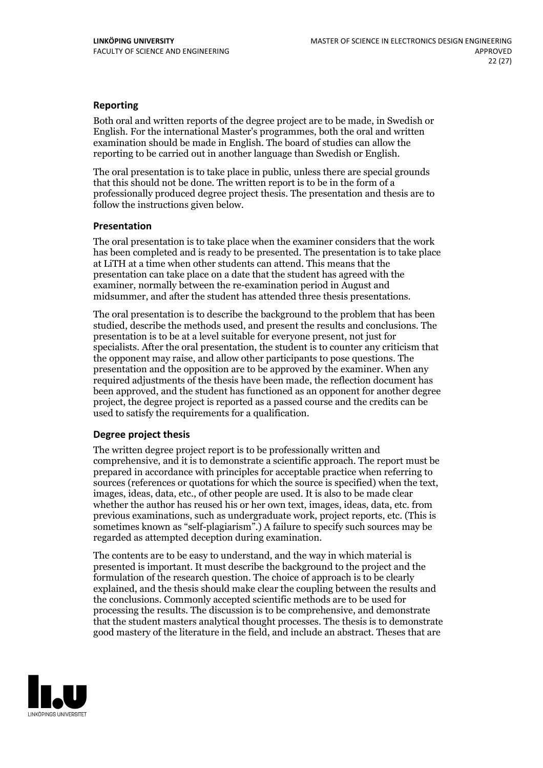#### **Reporting**

Both oral and written reports of the degree project are to be made, in Swedish or English. For the international Master's programmes, both the oral and written examination should be made in English. The board of studies can allow the reporting to be carried out in another language than Swedish or English.

The oral presentation is to take place in public, unless there are special grounds that this should not be done. The written report is to be in the form of a professionally produced degree project thesis. The presentation and thesis are to follow the instructions given below.

#### **Presentation**

The oral presentation is to take place when the examiner considers that the work has been completed and is ready to be presented. The presentation is to take place at LiTH at a time when other students can attend. This means that the presentation can take place on a date that the student has agreed with the examiner, normally between the re-examination period in August and midsummer, and after the student has attended three thesis presentations.

The oral presentation is to describe the background to the problem that has been studied, describe the methods used, and present the results and conclusions. The presentation is to be at a level suitable for everyone present, not just for specialists. After the oral presentation, the student is to counter any criticism that the opponent may raise, and allow other participants to pose questions. The presentation and the opposition are to be approved by the examiner. When any required adjustments of the thesis have been made, the reflection document has been approved, and the student has functioned as an opponent for another degree project, the degree project is reported as a passed course and the credits can be used to satisfy the requirements for a qualification.

#### **Degree project thesis**

The written degree project report is to be professionally written and comprehensive, and it is to demonstrate a scientific approach. The report must be prepared in accordance with principles for acceptable practice when referring to sources (references or quotations for which the source is specified) when the text, images, ideas, data, etc., of other people are used. It is also to be made clear whether the author has reused his or her own text, images, ideas, data, etc. from previous examinations, such asundergraduate work, project reports, etc. (This is sometimes known as"self-plagiarism".) A failure to specify such sources may be regarded as attempted deception during examination.

The contents are to be easy to understand, and the way in which material is presented is important. It must describe the background to the project and the formulation of the research question. The choice of approach is to be clearly explained, and the thesis should make clear the coupling between the results and the conclusions. Commonly accepted scientific methods are to be used for processing the results. The discussion is to be comprehensive, and demonstrate that the student masters analytical thought processes. The thesis is to demonstrate good mastery of the literature in the field, and include an abstract. Theses that are

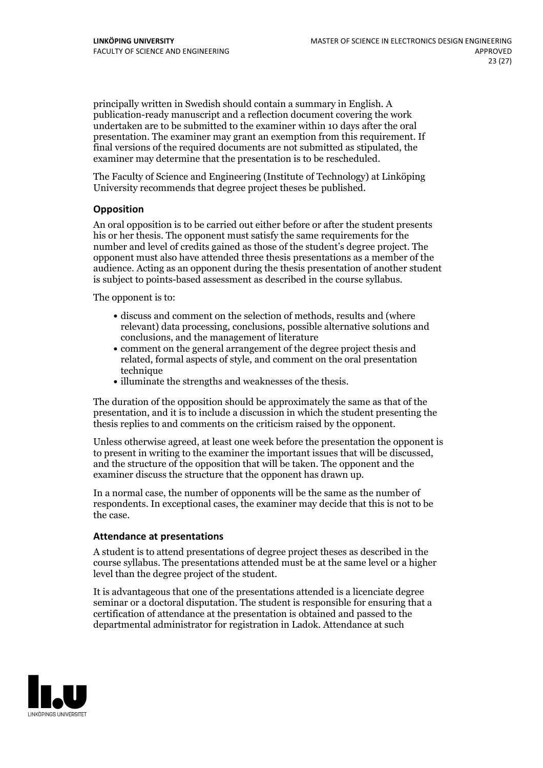principally written in Swedish should contain a summary in English. A publication-ready manuscript and a reflection document covering the work undertaken are to be submitted to the examiner within 10 days after the oral presentation. The examiner may grant an exemption from this requirement. If final versions of the required documents are not submitted as stipulated, the examiner may determine that the presentation is to be rescheduled.

The Faculty of Science and Engineering (Institute of Technology) at Linköping University recommends that degree project theses be published.

#### **Opposition**

An oral opposition is to be carried out either before or after the student presents his or her thesis. The opponent must satisfy the same requirements for the number and level of credits gained as those of the student's degree project. The opponent must also have attended three thesis presentations as a member of the audience. Acting as an opponent during the thesis presentation of another student is subject to points-based assessment as described in the course syllabus.

The opponent is to:

- discuss and comment on the selection of methods, results and (where relevant) data processing, conclusions, possible alternative solutions and conclusions, and the management of literature
- comment on the general arrangement of the degree project thesis and related, formal aspects of style, and comment on the oral presentation technique
- illuminate the strengths and weaknesses of the thesis.

The duration of the opposition should be approximately the same as that of the presentation, and it is to include a discussion in which the student presenting the thesis replies to and comments on the criticism raised by the opponent.

Unless otherwise agreed, at least one week before the presentation the opponent is to present in writing to the examiner the important issues that will be discussed, and the structure ofthe opposition that will be taken. The opponent and the examiner discuss the structure that the opponent has drawn up.

In a normal case, the number of opponents will be the same as the number of respondents. In exceptional cases, the examiner may decide that this is not to be the case.

#### **Attendance at presentations**

A student is to attend presentations of degree project theses as described in the course syllabus. The presentations attended must be at the same level or a higher level than the degree project of the student.

It is advantageous that one of the presentations attended is a licenciate degree seminar or a doctoral disputation. The student is responsible for ensuring that a certification of attendance at the presentation is obtained and passed to the departmental administrator for registration in Ladok. Attendance at such

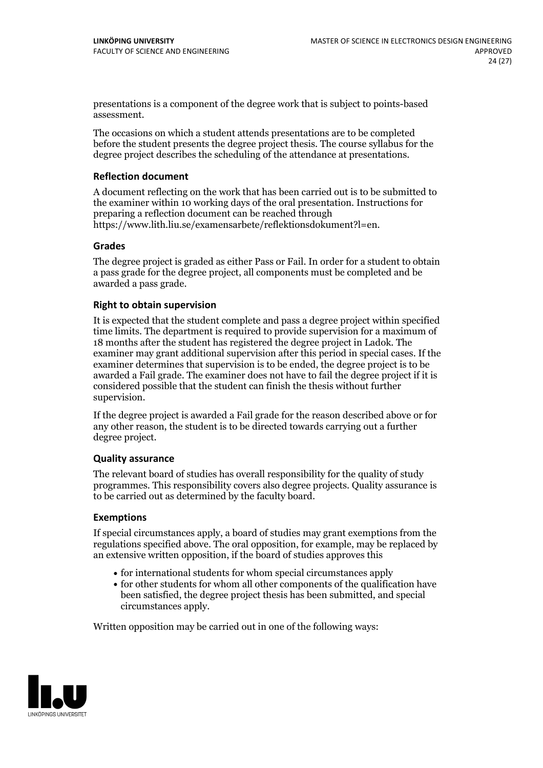presentations is a component of the degree work that is subject to points-based assessment.

The occasions on which a student attends presentations are to be completed before the student presents the degree project thesis. The course syllabus for the degree project describes the scheduling of the attendance at presentations.

#### **Reflection document**

A document reflecting on the work that has been carried outis to be submitted to the examiner within 10 working days of the oral presentation. Instructions for preparing a reflection document can be reached through https://www.lith.liu.se/examensarbete/reflektionsdokument?l=en.

#### **Grades**

The degree project is graded as either Pass or Fail. In order for a student to obtain a pass grade for the degree project, all components must be completed and be awarded a pass grade.

#### **Right to obtain supervision**

It is expected that the student complete and pass a degree project within specified time limits. The department is required to provide supervision for a maximum of 18 months after the student has registered the degree project in Ladok. The examiner may grant additional supervision after this period in special cases. If the examiner determines that supervision is to be ended, the degree project is to be awarded a Fail grade. The examiner does not have to fail the degree project if it is considered possible that the student can finish the thesis without further supervision.

If the degree project is awarded a Fail grade for the reason described above or for any other reason, the student is to be directed towards carrying out a further degree project.

#### **Quality assurance**

The relevant board of studies has overall responsibility for the quality of study programmes. This responsibility covers also degree projects. Quality assurance is to be carried out as determined by the faculty board.

#### **Exemptions**

If special circumstances apply, a board of studies may grant exemptions from the regulations specified above. The oral opposition, for example, may be replaced by an extensive written opposition, if the board of studies approves this

- for international students for whom special circumstances apply
- for other students for whom all other components of the qualification have been satisfied, the degree project thesis has been submitted, and special circumstances apply.

Written opposition may be carried out in one of the following ways:

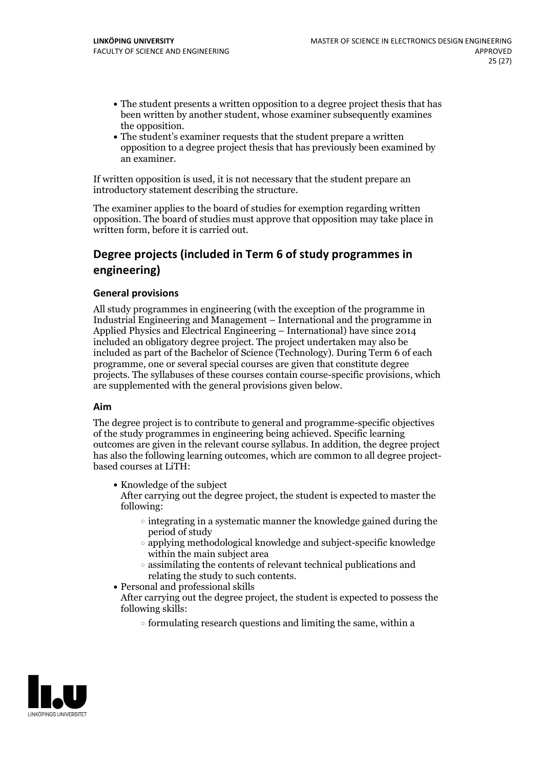- The student presents a written opposition to a degree project thesis that has been written by another student, whose examiner subsequently examines
- the opposition.<br>• The student's examiner requests that the student prepare a written opposition to a degree project thesis that has previously been examined by an examiner.

If written opposition is used, it is not necessary that the student prepare an introductory statement describing the structure.

The examiner applies to the board of studies for exemption regarding written opposition. The board of studies must approve that opposition may take place in written form, before it is carried out.

# **Degree projects (included in Term 6 of study programmes in engineering)**

#### **General provisions**

All study programmes in engineering (with the exception of the programme in Industrial Engineering and Management – International and the programme in Applied Physics and Electrical Engineering – International) have since 2014 included an obligatory degree project. The project undertaken may also be included as part of the Bachelor of Science (Technology). During Term 6 of each programme, one or several special courses are given that constitute degree projects. The syllabuses of these courses contain course-specific provisions, which are supplemented with the general provisions given below.

#### **Aim**

The degree project is to contribute to general and programme-specific objectives of the study programmes in engineering being achieved. Specific learning outcomes are given in the relevant course syllabus. In addition, the degree project has also the following learning outcomes, which are common to all degree project-<br>based courses at LiTH:

- Knowledge of the subject After carrying out the degree project, the student is expected to master the following:
	- $\circ$  integrating in a systematic manner the knowledge gained during the period of study
	- applying methodological knowledge and subject-specific knowledge within the main subject area
- $\circ$  assimilating the contents of relevant technical publications and relating the study to such contents.<br>• Personal and professional skills
	-
- After carrying out the degree project, the student is expected to possess the following skills:
	- $\circ$  formulating research questions and limiting the same, within a

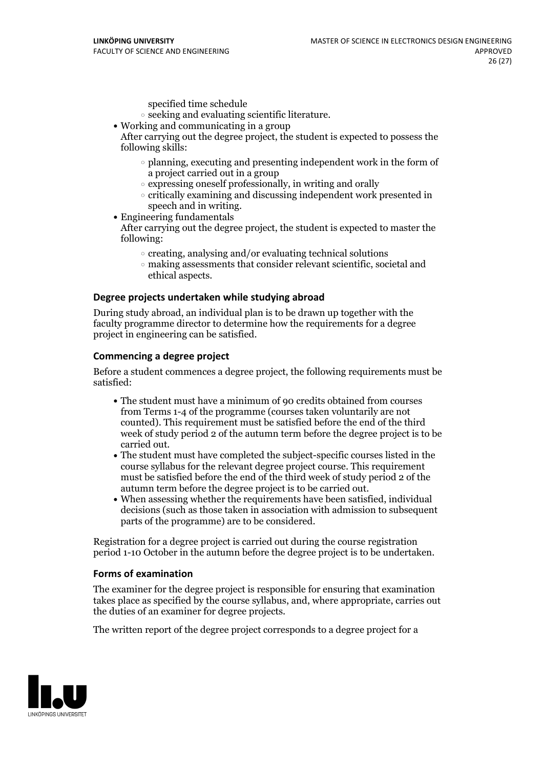specified time schedule

- $\circ$  seeking and evaluating scientific literature. <br> Working and communicating in a group
- 

After carrying out the degree project, the student is expected to possess the following skills:

- $\circ$  planning, executing and presenting independent work in the form of a project carried out in a group
- $\circ$  expressing oneself professionally, in writing and orally
- $\circ$  critically examining and discussing independent work presented in speech and in writing.
- $\bullet$  Engineering fundamentals

After carrying out the degree project, the student is expected to master the following:

- $\circ$  creating, analysing and/or evaluating technical solutions
- making assessments that consider relevant scientific, societal and ethical aspects.

#### **Degree projects undertaken while studying abroad**

During study abroad, an individual plan is to be drawn up together with the faculty programme director to determine how the requirements for a degree project in engineering can be satisfied.

#### **Commencing a degree project**

Before a student commences a degree project, the following requirements must be satisfied:

- The student must have a minimum of 90 credits obtained from courses from Terms 1-4 of the programme (courses taken voluntarily are not counted). This requirement must be satisfied before the end of the third week of study period 2 of the autumn term before the degree project is to be
- carried out.<br>• The student must have completed the subject-specific courses listed in the course syllabus for the relevant degree project course. This requirement must be satisfied before the end of the third week of study period 2 of the autumn term before the degree project is to be carried out.<br>• When assessing whether the requirements have been satisfied, individual
- decisions (such as those taken in association with admission to subsequent parts of the programme) are to be considered.

Registration for a degree project is carried out during the course registration period 1-10 October in the autumn before the degree project is to be undertaken.

#### **Forms of examination**

The examiner for the degree project is responsible for ensuring that examination takes place as specified by the course syllabus, and, where appropriate, carries out the duties of an examiner for degree projects.

The written report of the degree project corresponds to a degree project for a